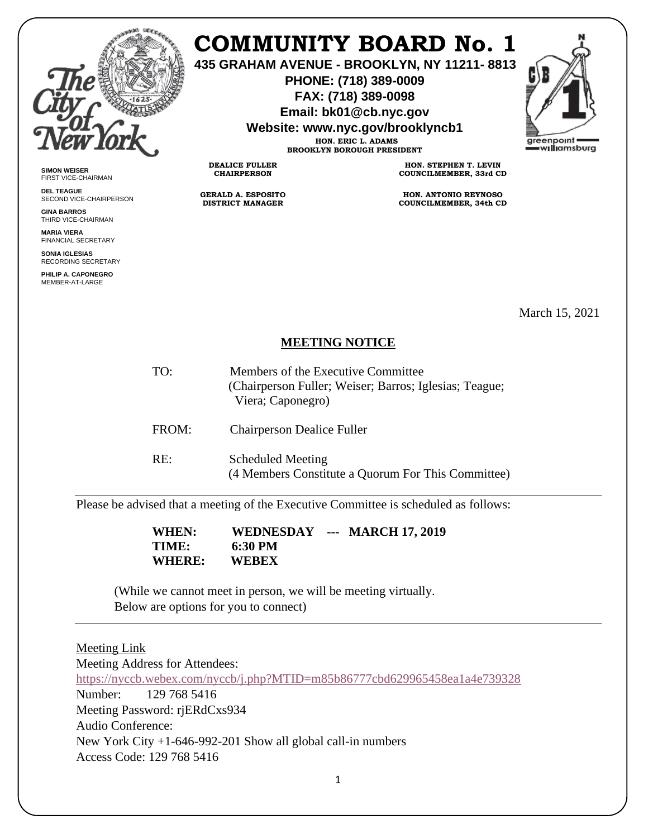

**SIMON WEISER** FIRST VICE-CHAIRMAN **DEL TEAGUE**

**GINA BARROS** THIRD VICE-CHAIRMAN **MARIA VIERA** FINANCIAL SECRETARY **SONIA IGLESIAS** RECORDING SECRETARY **PHILIP A. CAPONEGRO** MEMBER-AT-LARGE

SECOND VICE-CHAIRPERSON

## **COMMUNITY BOARD No. 1**

**435 GRAHAM AVENUE - BROOKLYN, NY 11211- 8813**

**PHONE: (718) 389-0009 FAX: (718) 389-0098**

**Email: bk01@cb.nyc.gov**

**Website: www.nyc.gov/brooklyncb1**

**HON. ERIC L. ADAMS BROOKLYN BOROUGH PRESIDENT**

**DEALICE FULLER CHAIRPERSON**

**GERALD A. ESPOSITO DISTRICT MANAGER**

**HON. STEPHEN T. LEVIN COUNCILMEMBER, 33rd CD**

**HON. ANTONIO REYNOSO COUNCILMEMBER, 34th CD**

March 15, 2021

## **MEETING NOTICE**

TO: Members of the Executive Committee (Chairperson Fuller; Weiser; Barros; Iglesias; Teague; Viera; Caponegro) FROM: Chairperson Dealice Fuller RE: Scheduled Meeting

(4 Members Constitute a Quorum For This Committee)

Please be advised that a meeting of the Executive Committee is scheduled as follows:

 **WHEN: WEDNESDAY --- MARCH 17, 2019 TIME: 6:30 PM WHERE: WEBEX**

(While we cannot meet in person, we will be meeting virtually. Below are options for you to connect)

| Meeting Link                                                               |
|----------------------------------------------------------------------------|
| Meeting Address for Attendees:                                             |
| https://nyccb.webex.com/nyccb/j.php?MTID=m85b86777cbd629965458ea1a4e739328 |
| Number: 129 768 5416                                                       |
| Meeting Password: rjERdCxs934                                              |
| Audio Conference:                                                          |
| New York City $+1-646-992-201$ Show all global call-in numbers             |
| Access Code: 129 768 5416                                                  |